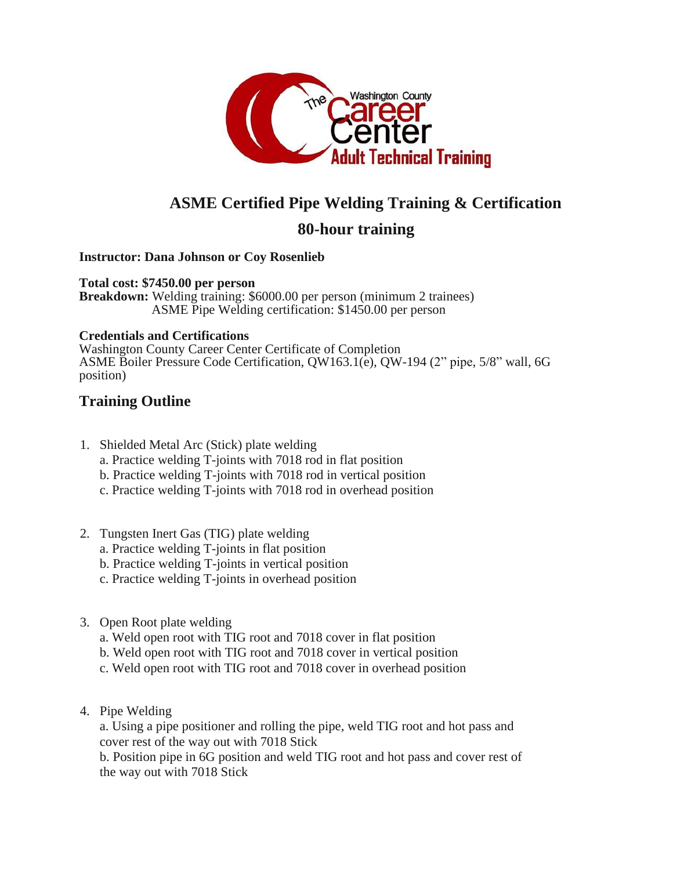

# **ASME Certified Pipe Welding Training & Certification**

## **80-hour training**

#### **Instructor: Dana Johnson or Coy Rosenlieb**

**Total cost: \$7450.00 per person Breakdown:** Welding training: \$6000.00 per person (minimum 2 trainees) ASME Pipe Welding certification: \$1450.00 per person

#### **Credentials and Certifications**

Washington County Career Center Certificate of Completion ASME Boiler Pressure Code Certification, QW163.1(e), QW-194 (2" pipe, 5/8" wall, 6G position)

### **Training Outline**

- 1. Shielded Metal Arc (Stick) plate welding a. Practice welding T-joints with 7018 rod in flat position
	- b. Practice welding T-joints with 7018 rod in vertical position
	- c. Practice welding T-joints with 7018 rod in overhead position
- 2. Tungsten Inert Gas (TIG) plate welding
	- a. Practice welding T-joints in flat position
	- b. Practice welding T-joints in vertical position
	- c. Practice welding T-joints in overhead position
- 3. Open Root plate welding
	- a. Weld open root with TIG root and 7018 cover in flat position
	- b. Weld open root with TIG root and 7018 cover in vertical position
	- c. Weld open root with TIG root and 7018 cover in overhead position
- 4. Pipe Welding

a. Using a pipe positioner and rolling the pipe, weld TIG root and hot pass and cover rest of the way out with 7018 Stick

b. Position pipe in 6G position and weld TIG root and hot pass and cover rest of the way out with 7018 Stick